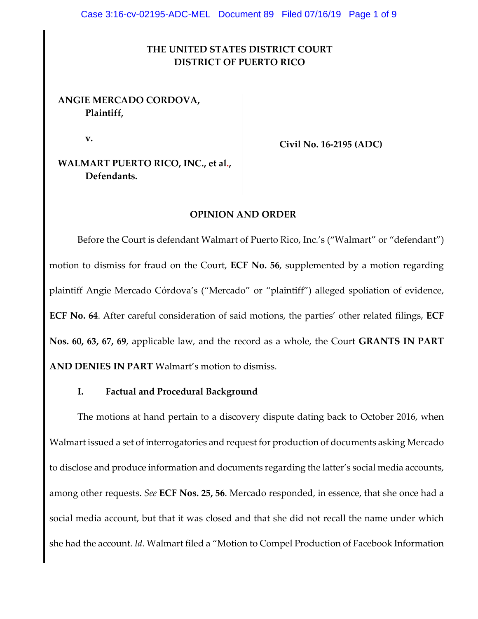### **THE UNITED STATES DISTRICT COURT DISTRICT OF PUERTO RICO**

### **ANGIE MERCADO CORDOVA, Plaintiff,**

**v.**

**Civil No. 16-2195 (ADC)**

**WALMART PUERTO RICO, INC., et al., Defendants.**

#### **OPINION AND ORDER**

Before the Court is defendant Walmart of Puerto Rico, Inc.'s ("Walmart" or "defendant") motion to dismiss for fraud on the Court, **ECF No. 56**, supplemented by a motion regarding plaintiff Angie Mercado Córdova's ("Mercado" or "plaintiff") alleged spoliation of evidence, **ECF No. 64**. After careful consideration of said motions, the parties' other related filings, **ECF Nos. 60, 63, 67, 69**, applicable law, and the record as a whole, the Court **GRANTS IN PART AND DENIES IN PART** Walmart's motion to dismiss.

#### **I. Factual and Procedural Background**

The motions at hand pertain to a discovery dispute dating back to October 2016, when Walmart issued a set of interrogatories and request for production of documents asking Mercado to disclose and produce information and documents regarding the latter's social media accounts, among other requests. *See* **ECF Nos. 25, 56**. Mercado responded, in essence, that she once had a social media account, but that it was closed and that she did not recall the name under which she had the account. *Id*. Walmart filed a "Motion to Compel Production of Facebook Information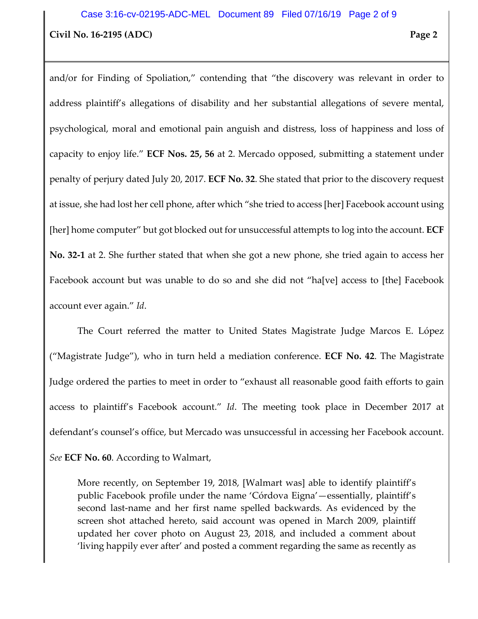and/or for Finding of Spoliation," contending that "the discovery was relevant in order to address plaintiff's allegations of disability and her substantial allegations of severe mental, psychological, moral and emotional pain anguish and distress, loss of happiness and loss of capacity to enjoy life." **ECF Nos. 25, 56** at 2. Mercado opposed, submitting a statement under penalty of perjury dated July 20, 2017. **ECF No. 32**. She stated that prior to the discovery request at issue, she had lost her cell phone, after which "she tried to access [her] Facebook account using [her] home computer" but got blocked out for unsuccessful attempts to log into the account. **ECF No. 32-1** at 2. She further stated that when she got a new phone, she tried again to access her Facebook account but was unable to do so and she did not "ha[ve] access to [the] Facebook account ever again." *Id*.

The Court referred the matter to United States Magistrate Judge Marcos E. López ("Magistrate Judge"), who in turn held a mediation conference. **ECF No. 42**. The Magistrate Judge ordered the parties to meet in order to "exhaust all reasonable good faith efforts to gain access to plaintiff's Facebook account." *Id*. The meeting took place in December 2017 at defendant's counsel's office, but Mercado was unsuccessful in accessing her Facebook account. *See* **ECF No. 60**. According to Walmart,

More recently, on September 19, 2018, [Walmart was] able to identify plaintiff's public Facebook profile under the name 'Córdova Eigna'—essentially, plaintiff's second last-name and her first name spelled backwards. As evidenced by the screen shot attached hereto, said account was opened in March 2009, plaintiff updated her cover photo on August 23, 2018, and included a comment about 'living happily ever after' and posted a comment regarding the same as recently as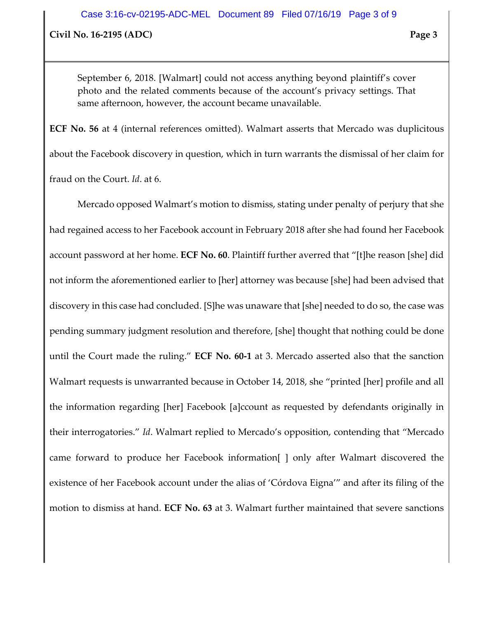**Civil No. 16-2195 (ADC) Page 3**

September 6, 2018. [Walmart] could not access anything beyond plaintiff's cover photo and the related comments because of the account's privacy settings. That same afternoon, however, the account became unavailable.

**ECF No. 56** at 4 (internal references omitted). Walmart asserts that Mercado was duplicitous about the Facebook discovery in question, which in turn warrants the dismissal of her claim for fraud on the Court. *Id*. at 6.

Mercado opposed Walmart's motion to dismiss, stating under penalty of perjury that she had regained access to her Facebook account in February 2018 after she had found her Facebook account password at her home. **ECF No. 60**. Plaintiff further averred that "[t]he reason [she] did not inform the aforementioned earlier to [her] attorney was because [she] had been advised that discovery in this case had concluded. [S]he was unaware that [she] needed to do so, the case was pending summary judgment resolution and therefore, [she] thought that nothing could be done until the Court made the ruling." **ECF No. 60-1** at 3. Mercado asserted also that the sanction Walmart requests is unwarranted because in October 14, 2018, she "printed [her] profile and all the information regarding [her] Facebook [a]ccount as requested by defendants originally in their interrogatories." *Id*. Walmart replied to Mercado's opposition, contending that "Mercado came forward to produce her Facebook information[ ] only after Walmart discovered the existence of her Facebook account under the alias of 'Córdova Eigna'" and after its filing of the motion to dismiss at hand. **ECF No. 63** at 3. Walmart further maintained that severe sanctions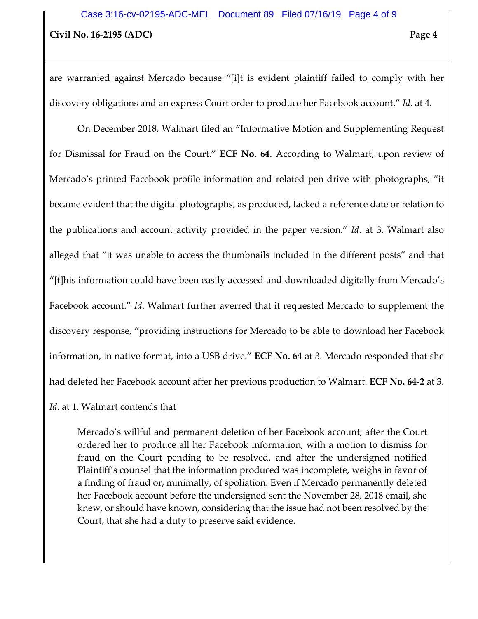are warranted against Mercado because "[i]t is evident plaintiff failed to comply with her discovery obligations and an express Court order to produce her Facebook account." *Id*. at 4.

On December 2018, Walmart filed an "Informative Motion and Supplementing Request for Dismissal for Fraud on the Court." **ECF No. 64**. According to Walmart, upon review of Mercado's printed Facebook profile information and related pen drive with photographs, "it became evident that the digital photographs, as produced, lacked a reference date or relation to the publications and account activity provided in the paper version." *Id*. at 3. Walmart also alleged that "it was unable to access the thumbnails included in the different posts" and that "[t]his information could have been easily accessed and downloaded digitally from Mercado's Facebook account." *Id*. Walmart further averred that it requested Mercado to supplement the discovery response, "providing instructions for Mercado to be able to download her Facebook information, in native format, into a USB drive." **ECF No. 64** at 3. Mercado responded that she had deleted her Facebook account after her previous production to Walmart. **ECF No. 64-2** at 3.

#### *Id*. at 1. Walmart contends that

Mercado's willful and permanent deletion of her Facebook account, after the Court ordered her to produce all her Facebook information, with a motion to dismiss for fraud on the Court pending to be resolved, and after the undersigned notified Plaintiff's counsel that the information produced was incomplete, weighs in favor of a finding of fraud or, minimally, of spoliation. Even if Mercado permanently deleted her Facebook account before the undersigned sent the November 28, 2018 email, she knew, or should have known, considering that the issue had not been resolved by the Court, that she had a duty to preserve said evidence.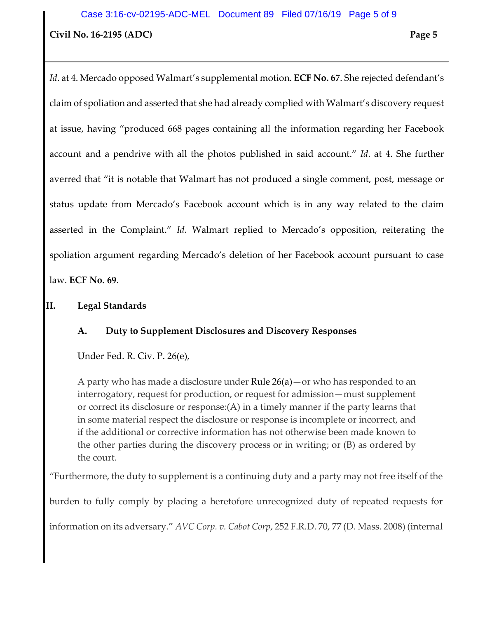*Id*. at 4. Mercado opposed Walmart's supplemental motion. **ECF No. 67**. She rejected defendant's claim of spoliation and asserted that she had already complied with Walmart's discovery request at issue, having "produced 668 pages containing all the information regarding her Facebook account and a pendrive with all the photos published in said account." *Id*. at 4. She further averred that "it is notable that Walmart has not produced a single comment, post, message or status update from Mercado's Facebook account which is in any way related to the claim asserted in the Complaint." *Id*. Walmart replied to Mercado's opposition, reiterating the spoliation argument regarding Mercado's deletion of her Facebook account pursuant to case law. **ECF No. 69**.

# **II. Legal Standards**

# **A. Duty to Supplement Disclosures and Discovery Responses**

Under Fed. R. Civ. P. 26(e),

A party who has made a disclosure under [Rule 26\(a\)—](https://www.law.cornell.edu/rules/frcp/rule_26#rule_26_a)or who has responded to an interrogatory, request for production, or request for admission—must supplement or correct its disclosure or response:(A) in a timely manner if the party learns that in some material respect the disclosure or response is incomplete or incorrect, and if the additional or corrective information has not otherwise been made known to the other parties during the discovery process or in writing; or (B) as ordered by the court.

"Furthermore, the duty to supplement is a continuing duty and a party may not free itself of the

burden to fully comply by placing a heretofore unrecognized duty of repeated requests for

information on its adversary." *AVC Corp. v. Cabot Corp*, 252 F.R.D. 70, 77 (D. Mass. 2008) (internal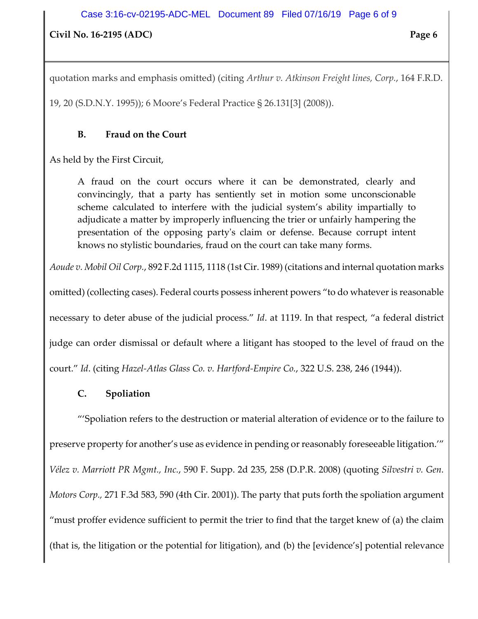#### **Civil No. 16-2195 (ADC) Page 6**

quotation marks and emphasis omitted) (citing *Arthur v. Atkinson Freight lines, Corp.*, 164 F.R.D.

19, 20 (S.D.N.Y. 1995)); 6 Moore's Federal Practice § 26.131[3] (2008)).

### **B. Fraud on the Court**

As held by the First Circuit,

A fraud on the court occurs where it can be demonstrated, clearly and convincingly, that a party has sentiently set in motion some unconscionable scheme calculated to interfere with the judicial system's ability impartially to adjudicate a matter by improperly influencing the trier or unfairly hampering the presentation of the opposing party's claim or defense. Because corrupt intent knows no stylistic boundaries, fraud on the court can take many forms.

*Aoude v. Mobil Oil Corp.*, 892 F.2d 1115, 1118 (1st Cir. 1989) (citations and internal quotation marks

omitted) (collecting cases). Federal courts possess inherent powers "to do whatever is reasonable necessary to deter abuse of the judicial process." *Id*. at 1119. In that respect, "a federal district judge can order dismissal or default where a litigant has stooped to the level of fraud on the court." *Id*. (citing *Hazel-Atlas Glass Co. v. Hartford-Empire Co.*, 322 U.S. 238, 246 (1944)).

# **C. Spoliation**

"'Spoliation refers to the destruction or material alteration of evidence or to the failure to preserve property for another's use as evidence in pending or reasonably foreseeable litigation.'" *Vélez v. Marriott PR Mgmt., Inc.*, 590 F. Supp. 2d 235, 258 (D.P.R. 2008) (quoting *Silvestri v. Gen. Motors Corp.,* 271 F.3d 583, 590 (4th Cir. 2001)). The party that puts forth the spoliation argument "must proffer evidence sufficient to permit the trier to find that the target knew of (a) the claim (that is, the litigation or the potential for litigation), and (b) the [evidence's] potential relevance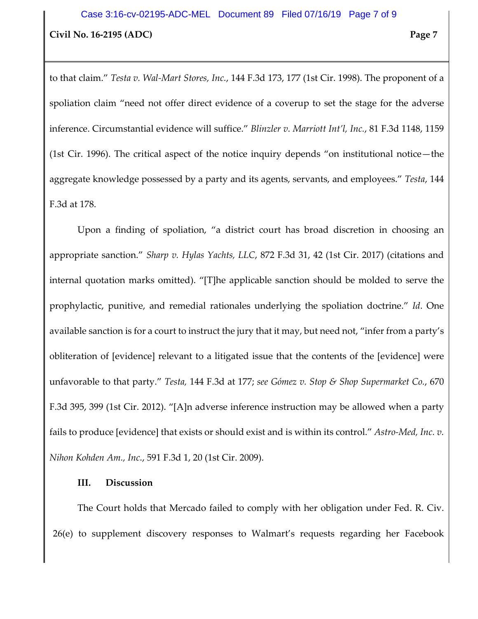to that claim." *Testa v. Wal-Mart Stores, Inc.*, 144 F.3d 173, 177 (1st Cir. 1998). The proponent of a spoliation claim "need not offer direct evidence of a coverup to set the stage for the adverse inference. Circumstantial evidence will suffice." *Blinzler v. Marriott Int'l, Inc.*, 81 F.3d 1148, 1159 (1st Cir. 1996). The critical aspect of the notice inquiry depends "on institutional notice—the aggregate knowledge possessed by a party and its agents, servants, and employees." *Testa*, 144 F.3d at 178.

Upon a finding of spoliation, "a district court has broad discretion in choosing an appropriate sanction." *Sharp v. Hylas Yachts, LLC*, 872 F.3d 31, 42 (1st Cir. 2017) (citations and internal quotation marks omitted). "[T]he applicable sanction should be molded to serve the prophylactic, punitive, and remedial rationales underlying the spoliation doctrine." *Id*. One available sanction is for a court to instruct the jury that it may, but need not, "infer from a party's obliteration of [evidence] relevant to a litigated issue that the contents of the [evidence] were unfavorable to that party." *Testa,* 144 F.3d at 177; *see Gómez v. Stop & Shop Supermarket Co.*, 670 F.3d 395, 399 (1st Cir. 2012). "[A]n adverse inference instruction may be allowed when a party fails to produce [evidence] that exists or should exist and is within its control." *Astro-Med, Inc. v. Nihon Kohden Am., Inc.*, 591 F.3d 1, 20 (1st Cir. 2009).

#### **III. Discussion**

The Court holds that Mercado failed to comply with her obligation under Fed. R. Civ. 26(e) to supplement discovery responses to Walmart's requests regarding her Facebook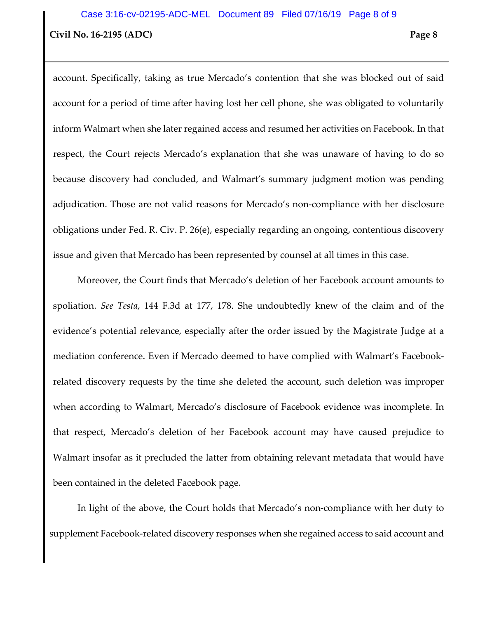account. Specifically, taking as true Mercado's contention that she was blocked out of said account for a period of time after having lost her cell phone, she was obligated to voluntarily inform Walmart when she later regained access and resumed her activities on Facebook. In that respect, the Court rejects Mercado's explanation that she was unaware of having to do so because discovery had concluded, and Walmart's summary judgment motion was pending adjudication. Those are not valid reasons for Mercado's non-compliance with her disclosure obligations under Fed. R. Civ. P. 26(e), especially regarding an ongoing, contentious discovery issue and given that Mercado has been represented by counsel at all times in this case.

Moreover, the Court finds that Mercado's deletion of her Facebook account amounts to spoliation. *See Testa*, 144 F.3d at 177, 178. She undoubtedly knew of the claim and of the evidence's potential relevance, especially after the order issued by the Magistrate Judge at a mediation conference. Even if Mercado deemed to have complied with Walmart's Facebookrelated discovery requests by the time she deleted the account, such deletion was improper when according to Walmart, Mercado's disclosure of Facebook evidence was incomplete. In that respect, Mercado's deletion of her Facebook account may have caused prejudice to Walmart insofar as it precluded the latter from obtaining relevant metadata that would have been contained in the deleted Facebook page.

In light of the above, the Court holds that Mercado's non-compliance with her duty to supplement Facebook-related discovery responses when she regained access to said account and